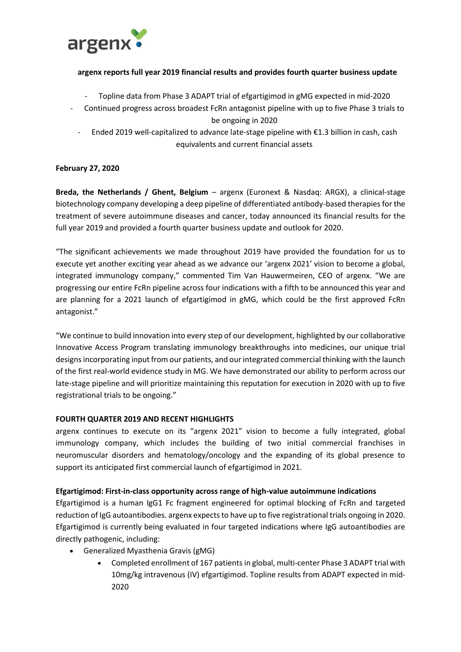

## **argenx reports full year 2019 financial results and provides fourth quarter business update**

- Topline data from Phase 3 ADAPT trial of efgartigimod in gMG expected in mid-2020
- Continued progress across broadest FcRn antagonist pipeline with up to five Phase 3 trials to be ongoing in 2020
	- Ended 2019 well-capitalized to advance late-stage pipeline with €1.3 billion in cash, cash equivalents and current financial assets

## **February 27, 2020**

**Breda, the Netherlands / Ghent, Belgium** – argenx (Euronext & Nasdaq: ARGX), a clinical-stage biotechnology company developing a deep pipeline of differentiated antibody-based therapies for the treatment of severe autoimmune diseases and cancer, today announced its financial results for the full year 2019 and provided a fourth quarter business update and outlook for 2020.

"The significant achievements we made throughout 2019 have provided the foundation for us to execute yet another exciting year ahead as we advance our 'argenx 2021' vision to become a global, integrated immunology company," commented Tim Van Hauwermeiren, CEO of argenx. "We are progressing our entire FcRn pipeline across four indications with a fifth to be announced this year and are planning for a 2021 launch of efgartigimod in gMG, which could be the first approved FcRn antagonist."

"We continue to build innovation into every step of our development, highlighted by our collaborative Innovative Access Program translating immunology breakthroughs into medicines, our unique trial designs incorporating input from our patients, and our integrated commercial thinking with the launch of the first real-world evidence study in MG. We have demonstrated our ability to perform across our late-stage pipeline and will prioritize maintaining this reputation for execution in 2020 with up to five registrational trials to be ongoing."

### **FOURTH QUARTER 2019 AND RECENT HIGHLIGHTS**

argenx continues to execute on its "argenx 2021" vision to become a fully integrated, global immunology company, which includes the building of two initial commercial franchises in neuromuscular disorders and hematology/oncology and the expanding of its global presence to support its anticipated first commercial launch of efgartigimod in 2021.

### **Efgartigimod: First-in-class opportunity across range of high-value autoimmune indications**

Efgartigimod is a human IgG1 Fc fragment engineered for optimal blocking of FcRn and targeted reduction of IgG autoantibodies. argenx expects to have up to five registrational trials ongoing in 2020. Efgartigimod is currently being evaluated in four targeted indications where IgG autoantibodies are directly pathogenic, including:

- Generalized Myasthenia Gravis (gMG)
	- Completed enrollment of 167 patients in global, multi-center Phase 3 ADAPT trial with 10mg/kg intravenous (IV) efgartigimod. Topline results from ADAPT expected in mid-2020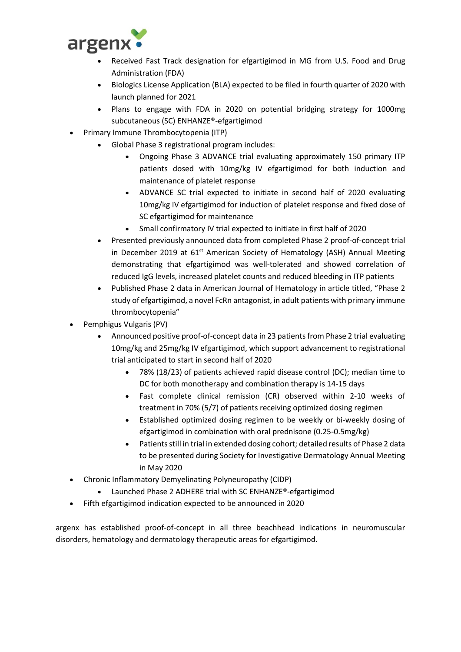

- Received Fast Track designation for efgartigimod in MG from U.S. Food and Drug Administration (FDA)
- Biologics License Application (BLA) expected to be filed in fourth quarter of 2020 with launch planned for 2021
- Plans to engage with FDA in 2020 on potential bridging strategy for 1000mg subcutaneous (SC) ENHANZE®-efgartigimod
- Primary Immune Thrombocytopenia (ITP)
	- Global Phase 3 registrational program includes:
		- Ongoing Phase 3 ADVANCE trial evaluating approximately 150 primary ITP patients dosed with 10mg/kg IV efgartigimod for both induction and maintenance of platelet response
		- ADVANCE SC trial expected to initiate in second half of 2020 evaluating 10mg/kg IV efgartigimod for induction of platelet response and fixed dose of SC efgartigimod for maintenance
		- Small confirmatory IV trial expected to initiate in first half of 2020
	- Presented previously announced data from completed Phase 2 proof-of-concept trial in December 2019 at  $61<sup>st</sup>$  American Society of Hematology (ASH) Annual Meeting demonstrating that efgartigimod was well-tolerated and showed correlation of reduced IgG levels, increased platelet counts and reduced bleeding in ITP patients
	- Published Phase 2 data in American Journal of Hematology in article titled, "Phase 2 study of efgartigimod, a novel FcRn antagonist, in adult patients with primary immune thrombocytopenia"
- Pemphigus Vulgaris (PV)
	- Announced positive proof-of-concept data in 23 patients from Phase 2 trial evaluating 10mg/kg and 25mg/kg IV efgartigimod, which support advancement to registrational trial anticipated to start in second half of 2020
		- 78% (18/23) of patients achieved rapid disease control (DC); median time to DC for both monotherapy and combination therapy is 14-15 days
		- Fast complete clinical remission (CR) observed within 2-10 weeks of treatment in 70% (5/7) of patients receiving optimized dosing regimen
		- Established optimized dosing regimen to be weekly or bi-weekly dosing of efgartigimod in combination with oral prednisone (0.25-0.5mg/kg)
		- Patients still in trial in extended dosing cohort; detailed results of Phase 2 data to be presented during Society for Investigative Dermatology Annual Meeting in May 2020
- Chronic Inflammatory Demyelinating Polyneuropathy (CIDP)
	- Launched Phase 2 ADHERE trial with SC ENHANZE®-efgartigimod
- Fifth efgartigimod indication expected to be announced in 2020

argenx has established proof-of-concept in all three beachhead indications in neuromuscular disorders, hematology and dermatology therapeutic areas for efgartigimod.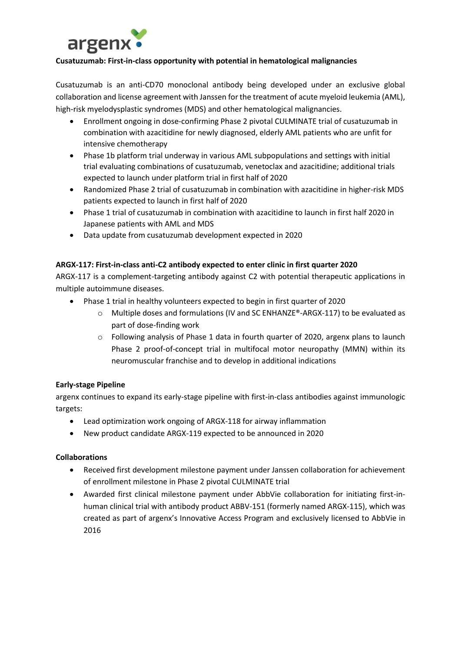

## **Cusatuzumab: First-in-class opportunity with potential in hematological malignancies**

Cusatuzumab is an anti-CD70 monoclonal antibody being developed under an exclusive global collaboration and license agreement with Janssen for the treatment of acute myeloid leukemia (AML), high-risk myelodysplastic syndromes (MDS) and other hematological malignancies.

- Enrollment ongoing in dose-confirming Phase 2 pivotal CULMINATE trial of cusatuzumab in combination with azacitidine for newly diagnosed, elderly AML patients who are unfit for intensive chemotherapy
- Phase 1b platform trial underway in various AML subpopulations and settings with initial trial evaluating combinations of cusatuzumab, venetoclax and azacitidine; additional trials expected to launch under platform trial in first half of 2020
- Randomized Phase 2 trial of cusatuzumab in combination with azacitidine in higher-risk MDS patients expected to launch in first half of 2020
- Phase 1 trial of cusatuzumab in combination with azacitidine to launch in first half 2020 in Japanese patients with AML and MDS
- Data update from cusatuzumab development expected in 2020

## **ARGX-117: First-in-class anti-C2 antibody expected to enter clinic in first quarter 2020**

ARGX-117 is a complement-targeting antibody against C2 with potential therapeutic applications in multiple autoimmune diseases.

- Phase 1 trial in healthy volunteers expected to begin in first quarter of 2020
	- o Multiple doses and formulations (IV and SC ENHANZE®-ARGX-117) to be evaluated as part of dose-finding work
	- $\circ$  Following analysis of Phase 1 data in fourth quarter of 2020, argenx plans to launch Phase 2 proof-of-concept trial in multifocal motor neuropathy (MMN) within its neuromuscular franchise and to develop in additional indications

# **Early-stage Pipeline**

argenx continues to expand its early-stage pipeline with first-in-class antibodies against immunologic targets:

- Lead optimization work ongoing of ARGX-118 for airway inflammation
- New product candidate ARGX-119 expected to be announced in 2020

# **Collaborations**

- Received first development milestone payment under Janssen collaboration for achievement of enrollment milestone in Phase 2 pivotal CULMINATE trial
- Awarded first clinical milestone payment under AbbVie collaboration for initiating first-inhuman clinical trial with antibody product ABBV-151 (formerly named ARGX-115), which was created as part of argenx's Innovative Access Program and exclusively licensed to AbbVie in 2016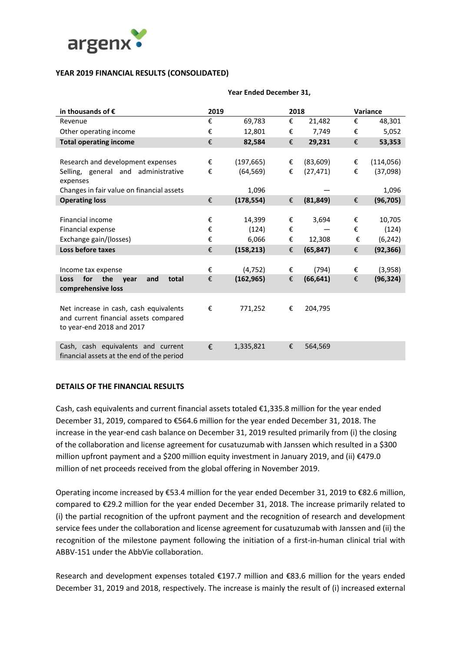

### **YEAR 2019 FINANCIAL RESULTS (CONSOLIDATED)**

| in thousands of $\epsilon$                 | 2019 |            | 2018 |           |   | Variance   |
|--------------------------------------------|------|------------|------|-----------|---|------------|
| Revenue                                    | €    | 69,783     | €    | 21,482    | € | 48,301     |
| Other operating income                     | €    | 12,801     | €    | 7,749     | € | 5,052      |
| <b>Total operating income</b>              | €    | 82,584     | €    | 29,231    | € | 53,353     |
|                                            |      |            |      |           |   |            |
| Research and development expenses          | €    | (197, 665) | €    | (83, 609) | € | (114, 056) |
| Selling, general and administrative        | €    | (64, 569)  | €    | (27, 471) | € | (37,098)   |
| expenses                                   |      |            |      |           |   |            |
| Changes in fair value on financial assets  |      | 1,096      |      |           |   | 1,096      |
| <b>Operating loss</b>                      | €    | (178, 554) | €    | (81, 849) | € | (96, 705)  |
|                                            |      |            |      |           |   |            |
| Financial income                           | €    | 14,399     | €    | 3,694     | € | 10,705     |
| Financial expense                          | €    | (124)      | €    |           | € | (124)      |
| Exchange gain/(losses)                     | €    | 6,066      | €    | 12,308    | € | (6, 242)   |
| Loss before taxes                          | €    | (158, 213) | €    | (65, 847) | € | (92, 366)  |
|                                            |      |            |      |           |   |            |
| Income tax expense                         | €    | (4, 752)   | €    | (794)     | € | (3,958)    |
| for<br>the<br>total<br>Loss<br>and<br>vear | €    | (162, 965) | €    | (66, 641) | € | (96, 324)  |
| comprehensive loss                         |      |            |      |           |   |            |
|                                            |      |            |      |           |   |            |
| Net increase in cash, cash equivalents     | €    | 771,252    | €    | 204,795   |   |            |
| and current financial assets compared      |      |            |      |           |   |            |
| to year-end 2018 and 2017                  |      |            |      |           |   |            |
|                                            |      |            |      |           |   |            |
| Cash, cash equivalents and current         | €    | 1,335,821  | €    | 564,569   |   |            |
| financial assets at the end of the period  |      |            |      |           |   |            |

#### **Year Ended December 31,**

### **DETAILS OF THE FINANCIAL RESULTS**

Cash, cash equivalents and current financial assets totaled €1,335.8 million for the year ended December 31, 2019, compared to €564.6 million for the year ended December 31, 2018. The increase in the year-end cash balance on December 31, 2019 resulted primarily from (i) the closing of the collaboration and license agreement for cusatuzumab with Janssen which resulted in a \$300 million upfront payment and a \$200 million equity investment in January 2019, and (ii) €479.0 million of net proceeds received from the global offering in November 2019.

Operating income increased by €53.4 million for the year ended December 31, 2019 to €82.6 million, compared to €29.2 million for the year ended December 31, 2018. The increase primarily related to (i) the partial recognition of the upfront payment and the recognition of research and development service fees under the collaboration and license agreement for cusatuzumab with Janssen and (ii) the recognition of the milestone payment following the initiation of a first-in-human clinical trial with ABBV-151 under the AbbVie collaboration.

Research and development expenses totaled €197.7 million and €83.6 million for the years ended December 31, 2019 and 2018, respectively. The increase is mainly the result of (i) increased external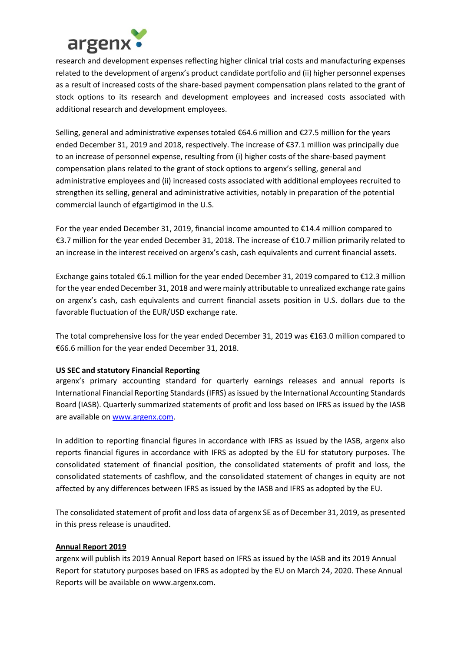

research and development expenses reflecting higher clinical trial costs and manufacturing expenses related to the development of argenx's product candidate portfolio and (ii) higher personnel expenses as a result of increased costs of the share-based payment compensation plans related to the grant of stock options to its research and development employees and increased costs associated with additional research and development employees.

Selling, general and administrative expenses totaled €64.6 million and €27.5 million for the years ended December 31, 2019 and 2018, respectively. The increase of €37.1 million was principally due to an increase of personnel expense, resulting from (i) higher costs of the share-based payment compensation plans related to the grant of stock options to argenx's selling, general and administrative employees and (ii) increased costs associated with additional employees recruited to strengthen its selling, general and administrative activities, notably in preparation of the potential commercial launch of efgartigimod in the U.S.

For the year ended December 31, 2019, financial income amounted to €14.4 million compared to €3.7 million for the year ended December 31, 2018. The increase of €10.7 million primarily related to an increase in the interest received on argenx's cash, cash equivalents and current financial assets.

Exchange gains totaled €6.1 million for the year ended December 31, 2019 compared to €12.3 million for the year ended December 31, 2018 and were mainly attributable to unrealized exchange rate gains on argenx's cash, cash equivalents and current financial assets position in U.S. dollars due to the favorable fluctuation of the EUR/USD exchange rate.

The total comprehensive loss for the year ended December 31, 2019 was €163.0 million compared to €66.6 million for the year ended December 31, 2018.

# **US SEC and statutory Financial Reporting**

argenx's primary accounting standard for quarterly earnings releases and annual reports is International Financial Reporting Standards (IFRS) as issued by the International Accounting Standards Board (IASB). Quarterly summarized statements of profit and loss based on IFRS as issued by the IASB are available on [www.argenx.com.](http://www.argenx.com/)

In addition to reporting financial figures in accordance with IFRS as issued by the IASB, argenx also reports financial figures in accordance with IFRS as adopted by the EU for statutory purposes. The consolidated statement of financial position, the consolidated statements of profit and loss, the consolidated statements of cashflow, and the consolidated statement of changes in equity are not affected by any differences between IFRS as issued by the IASB and IFRS as adopted by the EU.

The consolidated statement of profit and loss data of argenx SE as of December 31, 2019, as presented in this press release is unaudited.

### **Annual Report 2019**

argenx will publish its 2019 Annual Report based on IFRS as issued by the IASB and its 2019 Annual Report for statutory purposes based on IFRS as adopted by the EU on March 24, 2020. These Annual Reports will be available on www.argenx.com.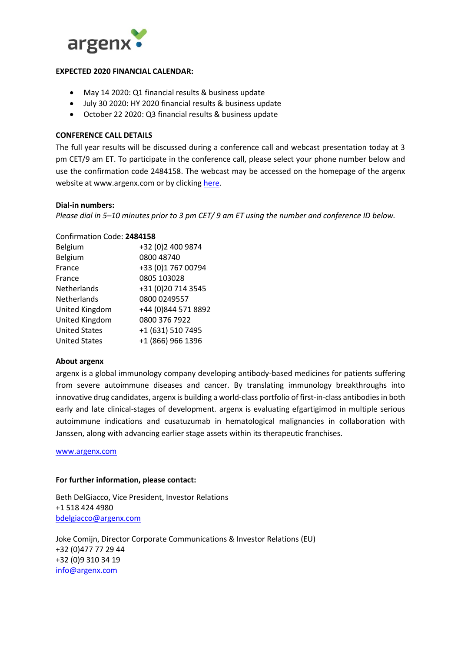

#### **EXPECTED 2020 FINANCIAL CALENDAR:**

- May 14 2020: Q1 financial results & business update
- July 30 2020: HY 2020 financial results & business update
- October 22 2020: Q3 financial results & business update

### **CONFERENCE CALL DETAILS**

The full year results will be discussed during a conference call and webcast presentation today at 3 pm CET/9 am ET. To participate in the conference call, please select your phone number below and use the confirmation code 2484158. The webcast may be accessed on the homepage of the argenx website at www.argenx.com or by clicking [here.](https://edge.media-server.com/mmc/p/x2goimef)

#### **Dial-in numbers:**

*Please dial in 5–10 minutes prior to 3 pm CET/ 9 am ET using the number and conference ID below.*

#### Confirmation Code: **2484158**

| Belgium              | +32 (0)2 400 9874   |
|----------------------|---------------------|
| Belgium              | 0800 48740          |
| France               | +33 (0)1 767 00794  |
| France               | 0805 103028         |
| Netherlands          | +31 (0)20 714 3545  |
| <b>Netherlands</b>   | 0800 0249557        |
| United Kingdom       | +44 (0)844 571 8892 |
| United Kingdom       | 0800 376 7922       |
| <b>United States</b> | +1 (631) 510 7495   |
| <b>United States</b> | +1 (866) 966 1396   |

### **About argenx**

argenx is a global immunology company developing antibody-based medicines for patients suffering from severe autoimmune diseases and cancer. By translating immunology breakthroughs into innovative drug candidates, argenx is building a world-class portfolio of first-in-class antibodies in both early and late clinical-stages of development. argenx is evaluating efgartigimod in multiple serious autoimmune indications and cusatuzumab in hematological malignancies in collaboration with Janssen, along with advancing earlier stage assets within its therapeutic franchises.

[www.argenx.com](http://www.argenx.com/)

#### **For further information, please contact:**

Beth DelGiacco, Vice President, Investor Relations +1 518 424 4980 [bdelgiacco@argenx.com](mailto:bdelgiacco@argenx.com)

Joke Comijn, Director Corporate Communications & Investor Relations (EU) +32 (0)477 77 29 44 +32 (0)9 310 34 19 [info@argenx.com](mailto:info@argenx.com)